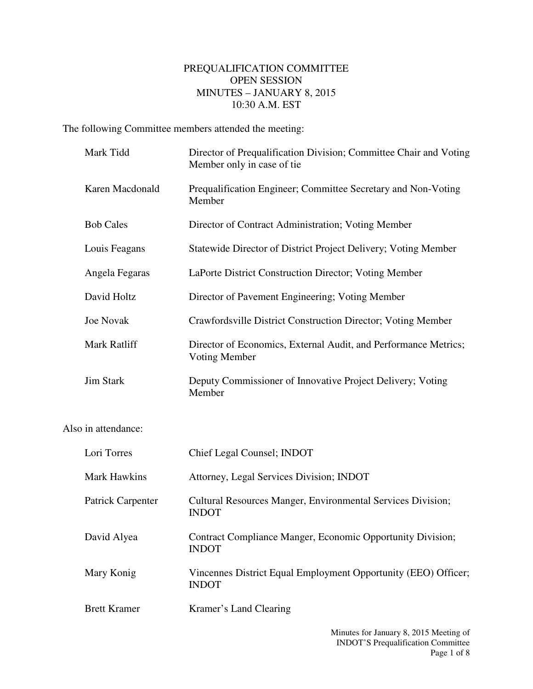## PREQUALIFICATION COMMITTEE OPEN SESSION MINUTES – JANUARY 8, 2015 10:30 A.M. EST

The following Committee members attended the meeting:

| Mark Tidd                | Director of Prequalification Division; Committee Chair and Voting<br>Member only in case of tie |
|--------------------------|-------------------------------------------------------------------------------------------------|
| Karen Macdonald          | Prequalification Engineer; Committee Secretary and Non-Voting<br>Member                         |
| <b>Bob Cales</b>         | Director of Contract Administration; Voting Member                                              |
| Louis Feagans            | Statewide Director of District Project Delivery; Voting Member                                  |
| Angela Fegaras           | LaPorte District Construction Director; Voting Member                                           |
| David Holtz              | Director of Pavement Engineering; Voting Member                                                 |
| <b>Joe Novak</b>         | Crawfordsville District Construction Director; Voting Member                                    |
| Mark Ratliff             | Director of Economics, External Audit, and Performance Metrics;<br><b>Voting Member</b>         |
| <b>Jim Stark</b>         | Deputy Commissioner of Innovative Project Delivery; Voting<br>Member                            |
| Also in attendance:      |                                                                                                 |
| Lori Torres              | Chief Legal Counsel; INDOT                                                                      |
| <b>Mark Hawkins</b>      | Attorney, Legal Services Division; INDOT                                                        |
| <b>Patrick Carpenter</b> | Cultural Resources Manger, Environmental Services Division;<br><b>INDOT</b>                     |
| David Alyea              | Contract Compliance Manger, Economic Opportunity Division;<br><b>INDOT</b>                      |
| Mary Konig               | Vincennes District Equal Employment Opportunity (EEO) Officer;<br><b>INDOT</b>                  |
|                          |                                                                                                 |

Brett Kramer Kramer's Land Clearing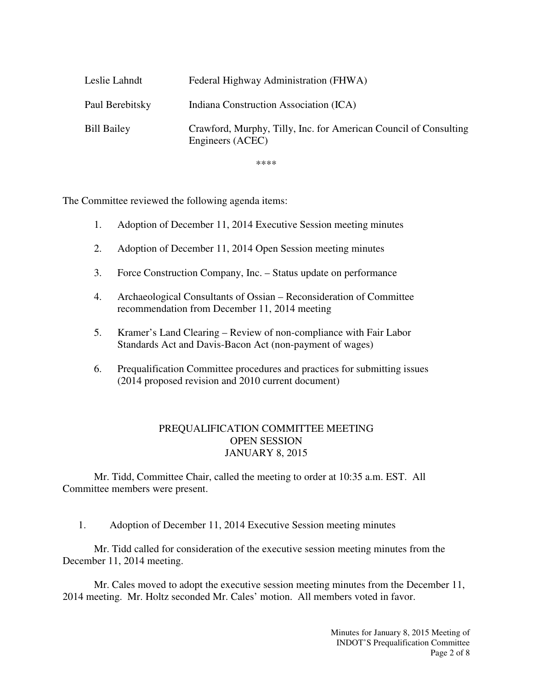| Leslie Lahndt      | Federal Highway Administration (FHWA)                                                |
|--------------------|--------------------------------------------------------------------------------------|
| Paul Berebitsky    | Indiana Construction Association (ICA)                                               |
| <b>Bill Bailey</b> | Crawford, Murphy, Tilly, Inc. for American Council of Consulting<br>Engineers (ACEC) |

\*\*\*\*

The Committee reviewed the following agenda items:

- 1. Adoption of December 11, 2014 Executive Session meeting minutes
- 2. Adoption of December 11, 2014 Open Session meeting minutes
- 3. Force Construction Company, Inc. Status update on performance
- 4. Archaeological Consultants of Ossian Reconsideration of Committee recommendation from December 11, 2014 meeting
- 5. Kramer's Land Clearing Review of non-compliance with Fair Labor Standards Act and Davis-Bacon Act (non-payment of wages)
- 6. Prequalification Committee procedures and practices for submitting issues (2014 proposed revision and 2010 current document)

## PREQUALIFICATION COMMITTEE MEETING OPEN SESSION JANUARY 8, 2015

Mr. Tidd, Committee Chair, called the meeting to order at 10:35 a.m. EST. All Committee members were present.

1. Adoption of December 11, 2014 Executive Session meeting minutes

Mr. Tidd called for consideration of the executive session meeting minutes from the December 11, 2014 meeting.

Mr. Cales moved to adopt the executive session meeting minutes from the December 11, 2014 meeting. Mr. Holtz seconded Mr. Cales' motion. All members voted in favor.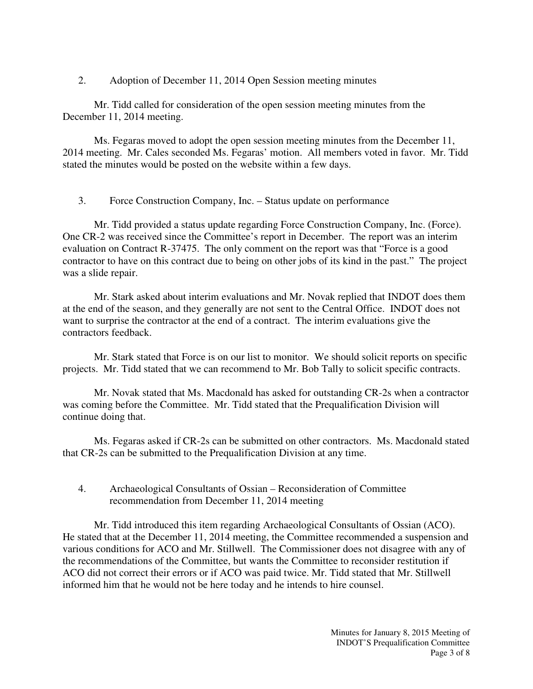2. Adoption of December 11, 2014 Open Session meeting minutes

Mr. Tidd called for consideration of the open session meeting minutes from the December 11, 2014 meeting.

Ms. Fegaras moved to adopt the open session meeting minutes from the December 11, 2014 meeting. Mr. Cales seconded Ms. Fegaras' motion. All members voted in favor. Mr. Tidd stated the minutes would be posted on the website within a few days.

3. Force Construction Company, Inc. – Status update on performance

Mr. Tidd provided a status update regarding Force Construction Company, Inc. (Force). One CR-2 was received since the Committee's report in December. The report was an interim evaluation on Contract R-37475. The only comment on the report was that "Force is a good contractor to have on this contract due to being on other jobs of its kind in the past." The project was a slide repair.

Mr. Stark asked about interim evaluations and Mr. Novak replied that INDOT does them at the end of the season, and they generally are not sent to the Central Office. INDOT does not want to surprise the contractor at the end of a contract. The interim evaluations give the contractors feedback.

Mr. Stark stated that Force is on our list to monitor. We should solicit reports on specific projects. Mr. Tidd stated that we can recommend to Mr. Bob Tally to solicit specific contracts.

Mr. Novak stated that Ms. Macdonald has asked for outstanding CR-2s when a contractor was coming before the Committee. Mr. Tidd stated that the Prequalification Division will continue doing that.

Ms. Fegaras asked if CR-2s can be submitted on other contractors. Ms. Macdonald stated that CR-2s can be submitted to the Prequalification Division at any time.

## 4. Archaeological Consultants of Ossian – Reconsideration of Committee recommendation from December 11, 2014 meeting

Mr. Tidd introduced this item regarding Archaeological Consultants of Ossian (ACO). He stated that at the December 11, 2014 meeting, the Committee recommended a suspension and various conditions for ACO and Mr. Stillwell. The Commissioner does not disagree with any of the recommendations of the Committee, but wants the Committee to reconsider restitution if ACO did not correct their errors or if ACO was paid twice. Mr. Tidd stated that Mr. Stillwell informed him that he would not be here today and he intends to hire counsel.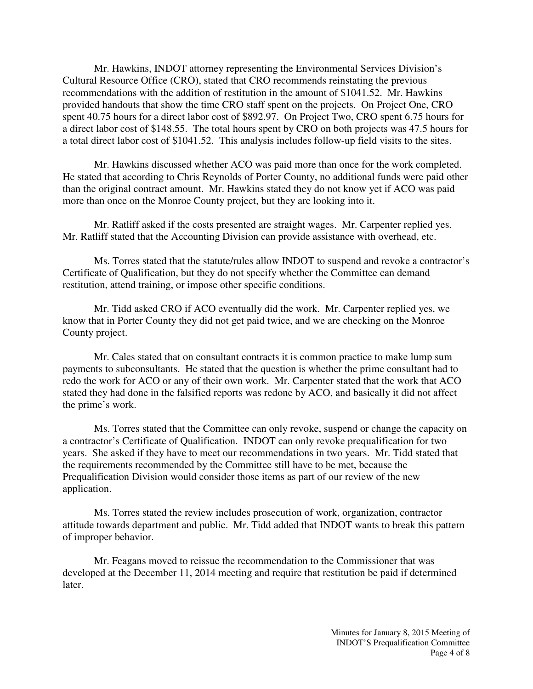Mr. Hawkins, INDOT attorney representing the Environmental Services Division's Cultural Resource Office (CRO), stated that CRO recommends reinstating the previous recommendations with the addition of restitution in the amount of \$1041.52. Mr. Hawkins provided handouts that show the time CRO staff spent on the projects. On Project One, CRO spent 40.75 hours for a direct labor cost of \$892.97. On Project Two, CRO spent 6.75 hours for a direct labor cost of \$148.55. The total hours spent by CRO on both projects was 47.5 hours for a total direct labor cost of \$1041.52. This analysis includes follow-up field visits to the sites.

Mr. Hawkins discussed whether ACO was paid more than once for the work completed. He stated that according to Chris Reynolds of Porter County, no additional funds were paid other than the original contract amount. Mr. Hawkins stated they do not know yet if ACO was paid more than once on the Monroe County project, but they are looking into it.

Mr. Ratliff asked if the costs presented are straight wages. Mr. Carpenter replied yes. Mr. Ratliff stated that the Accounting Division can provide assistance with overhead, etc.

Ms. Torres stated that the statute/rules allow INDOT to suspend and revoke a contractor's Certificate of Qualification, but they do not specify whether the Committee can demand restitution, attend training, or impose other specific conditions.

Mr. Tidd asked CRO if ACO eventually did the work. Mr. Carpenter replied yes, we know that in Porter County they did not get paid twice, and we are checking on the Monroe County project.

Mr. Cales stated that on consultant contracts it is common practice to make lump sum payments to subconsultants. He stated that the question is whether the prime consultant had to redo the work for ACO or any of their own work. Mr. Carpenter stated that the work that ACO stated they had done in the falsified reports was redone by ACO, and basically it did not affect the prime's work.

Ms. Torres stated that the Committee can only revoke, suspend or change the capacity on a contractor's Certificate of Qualification. INDOT can only revoke prequalification for two years. She asked if they have to meet our recommendations in two years. Mr. Tidd stated that the requirements recommended by the Committee still have to be met, because the Prequalification Division would consider those items as part of our review of the new application.

Ms. Torres stated the review includes prosecution of work, organization, contractor attitude towards department and public. Mr. Tidd added that INDOT wants to break this pattern of improper behavior.

Mr. Feagans moved to reissue the recommendation to the Commissioner that was developed at the December 11, 2014 meeting and require that restitution be paid if determined later.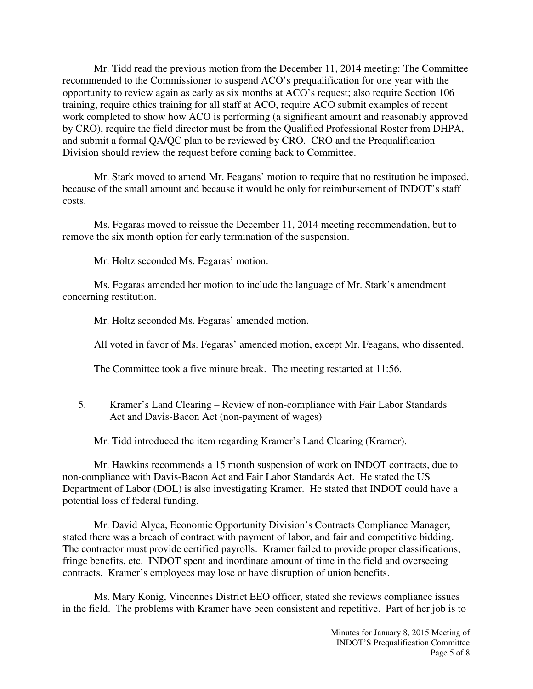Mr. Tidd read the previous motion from the December 11, 2014 meeting: The Committee recommended to the Commissioner to suspend ACO's prequalification for one year with the opportunity to review again as early as six months at ACO's request; also require Section 106 training, require ethics training for all staff at ACO, require ACO submit examples of recent work completed to show how ACO is performing (a significant amount and reasonably approved by CRO), require the field director must be from the Qualified Professional Roster from DHPA, and submit a formal QA/QC plan to be reviewed by CRO. CRO and the Prequalification Division should review the request before coming back to Committee.

Mr. Stark moved to amend Mr. Feagans' motion to require that no restitution be imposed, because of the small amount and because it would be only for reimbursement of INDOT's staff costs.

Ms. Fegaras moved to reissue the December 11, 2014 meeting recommendation, but to remove the six month option for early termination of the suspension.

Mr. Holtz seconded Ms. Fegaras' motion.

Ms. Fegaras amended her motion to include the language of Mr. Stark's amendment concerning restitution.

Mr. Holtz seconded Ms. Fegaras' amended motion.

All voted in favor of Ms. Fegaras' amended motion, except Mr. Feagans, who dissented.

The Committee took a five minute break. The meeting restarted at 11:56.

5. Kramer's Land Clearing – Review of non-compliance with Fair Labor Standards Act and Davis-Bacon Act (non-payment of wages)

Mr. Tidd introduced the item regarding Kramer's Land Clearing (Kramer).

Mr. Hawkins recommends a 15 month suspension of work on INDOT contracts, due to non-compliance with Davis-Bacon Act and Fair Labor Standards Act. He stated the US Department of Labor (DOL) is also investigating Kramer. He stated that INDOT could have a potential loss of federal funding.

Mr. David Alyea, Economic Opportunity Division's Contracts Compliance Manager, stated there was a breach of contract with payment of labor, and fair and competitive bidding. The contractor must provide certified payrolls. Kramer failed to provide proper classifications, fringe benefits, etc. INDOT spent and inordinate amount of time in the field and overseeing contracts. Kramer's employees may lose or have disruption of union benefits.

Ms. Mary Konig, Vincennes District EEO officer, stated she reviews compliance issues in the field. The problems with Kramer have been consistent and repetitive. Part of her job is to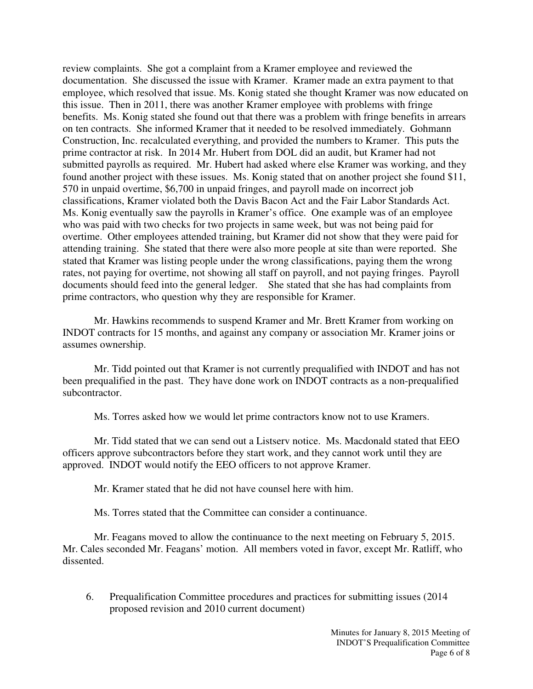review complaints. She got a complaint from a Kramer employee and reviewed the documentation. She discussed the issue with Kramer. Kramer made an extra payment to that employee, which resolved that issue. Ms. Konig stated she thought Kramer was now educated on this issue. Then in 2011, there was another Kramer employee with problems with fringe benefits. Ms. Konig stated she found out that there was a problem with fringe benefits in arrears on ten contracts. She informed Kramer that it needed to be resolved immediately. Gohmann Construction, Inc. recalculated everything, and provided the numbers to Kramer. This puts the prime contractor at risk. In 2014 Mr. Hubert from DOL did an audit, but Kramer had not submitted payrolls as required. Mr. Hubert had asked where else Kramer was working, and they found another project with these issues. Ms. Konig stated that on another project she found \$11, 570 in unpaid overtime, \$6,700 in unpaid fringes, and payroll made on incorrect job classifications, Kramer violated both the Davis Bacon Act and the Fair Labor Standards Act. Ms. Konig eventually saw the payrolls in Kramer's office. One example was of an employee who was paid with two checks for two projects in same week, but was not being paid for overtime. Other employees attended training, but Kramer did not show that they were paid for attending training. She stated that there were also more people at site than were reported. She stated that Kramer was listing people under the wrong classifications, paying them the wrong rates, not paying for overtime, not showing all staff on payroll, and not paying fringes. Payroll documents should feed into the general ledger. She stated that she has had complaints from prime contractors, who question why they are responsible for Kramer.

Mr. Hawkins recommends to suspend Kramer and Mr. Brett Kramer from working on INDOT contracts for 15 months, and against any company or association Mr. Kramer joins or assumes ownership.

Mr. Tidd pointed out that Kramer is not currently prequalified with INDOT and has not been prequalified in the past. They have done work on INDOT contracts as a non-prequalified subcontractor.

Ms. Torres asked how we would let prime contractors know not to use Kramers.

Mr. Tidd stated that we can send out a Listserv notice. Ms. Macdonald stated that EEO officers approve subcontractors before they start work, and they cannot work until they are approved. INDOT would notify the EEO officers to not approve Kramer.

Mr. Kramer stated that he did not have counsel here with him.

Ms. Torres stated that the Committee can consider a continuance.

Mr. Feagans moved to allow the continuance to the next meeting on February 5, 2015. Mr. Cales seconded Mr. Feagans' motion. All members voted in favor, except Mr. Ratliff, who dissented.

6. Prequalification Committee procedures and practices for submitting issues (2014 proposed revision and 2010 current document)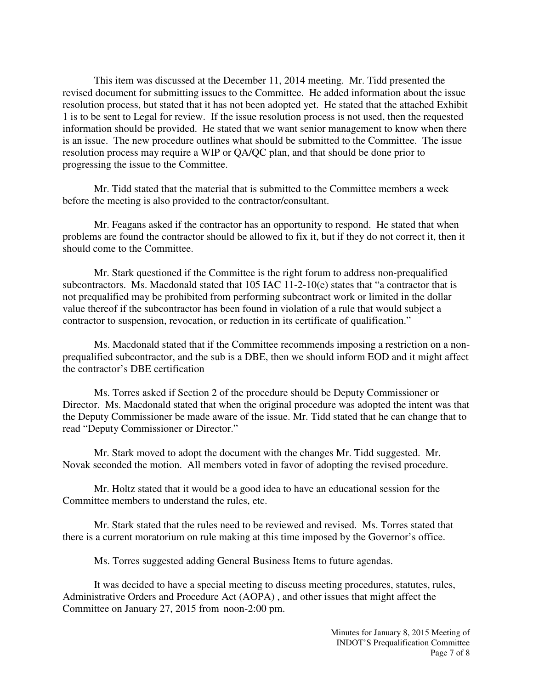This item was discussed at the December 11, 2014 meeting. Mr. Tidd presented the revised document for submitting issues to the Committee. He added information about the issue resolution process, but stated that it has not been adopted yet. He stated that the attached Exhibit 1 is to be sent to Legal for review. If the issue resolution process is not used, then the requested information should be provided. He stated that we want senior management to know when there is an issue. The new procedure outlines what should be submitted to the Committee. The issue resolution process may require a WIP or QA/QC plan, and that should be done prior to progressing the issue to the Committee.

Mr. Tidd stated that the material that is submitted to the Committee members a week before the meeting is also provided to the contractor/consultant.

Mr. Feagans asked if the contractor has an opportunity to respond. He stated that when problems are found the contractor should be allowed to fix it, but if they do not correct it, then it should come to the Committee.

Mr. Stark questioned if the Committee is the right forum to address non-prequalified subcontractors. Ms. Macdonald stated that 105 IAC 11-2-10(e) states that "a contractor that is not prequalified may be prohibited from performing subcontract work or limited in the dollar value thereof if the subcontractor has been found in violation of a rule that would subject a contractor to suspension, revocation, or reduction in its certificate of qualification."

Ms. Macdonald stated that if the Committee recommends imposing a restriction on a nonprequalified subcontractor, and the sub is a DBE, then we should inform EOD and it might affect the contractor's DBE certification

Ms. Torres asked if Section 2 of the procedure should be Deputy Commissioner or Director. Ms. Macdonald stated that when the original procedure was adopted the intent was that the Deputy Commissioner be made aware of the issue. Mr. Tidd stated that he can change that to read "Deputy Commissioner or Director."

Mr. Stark moved to adopt the document with the changes Mr. Tidd suggested. Mr. Novak seconded the motion. All members voted in favor of adopting the revised procedure.

Mr. Holtz stated that it would be a good idea to have an educational session for the Committee members to understand the rules, etc.

Mr. Stark stated that the rules need to be reviewed and revised. Ms. Torres stated that there is a current moratorium on rule making at this time imposed by the Governor's office.

Ms. Torres suggested adding General Business Items to future agendas.

It was decided to have a special meeting to discuss meeting procedures, statutes, rules, Administrative Orders and Procedure Act (AOPA) , and other issues that might affect the Committee on January 27, 2015 from noon-2:00 pm.